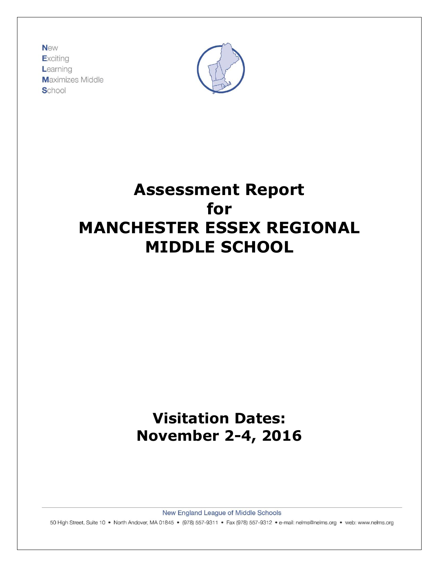**New** Exciting Learning **Maximizes Middle** School



# **Assessment Report for MANCHESTER ESSEX REGIONAL MIDDLE SCHOOL**

# **Visitation Dates: November 2-4, 2016**

New England League of Middle Schools

50 High Street, Suite 10 · North Andover, MA 01845 · (978) 557-9311 · Fax (978) 557-9312 · e-mail: nelms@nelms.org · web: www.nelms.org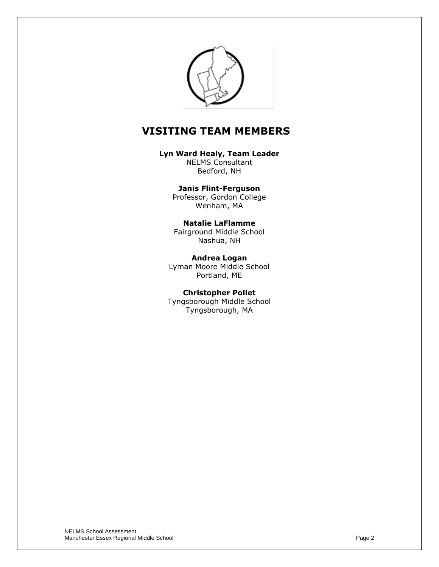

# **VISITING TEAM MEMBERS**

**Lyn Ward Healy, Team Leader**

NELMS Consultant Bedford, NH

**Janis Flint-Ferguson** Professor, Gordon College Wenham, MA

#### **Natalie LaFlamme** Fairground Middle School Nashua, NH

**Andrea Logan** Lyman Moore Middle School Portland, ME

**Christopher Pollet** Tyngsborough Middle School Tyngsborough, MA

NELMS School Assessment Manchester Essex Regional Middle School **Page 2 Page 2**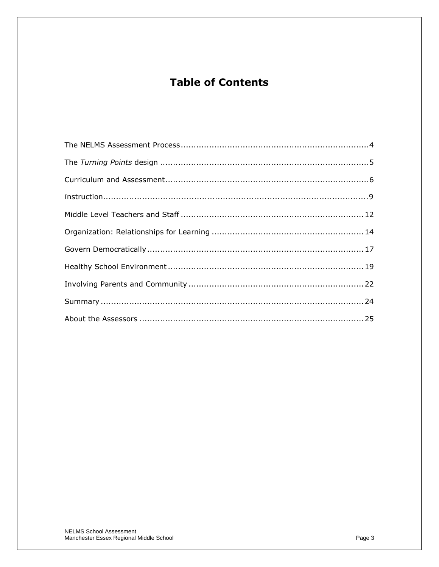# **Table of Contents**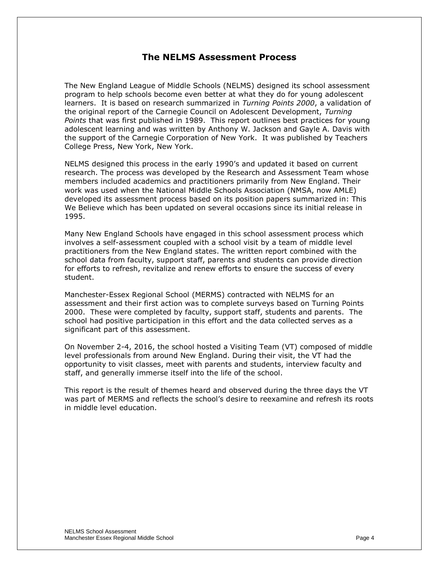#### **The NELMS Assessment Process**

The New England League of Middle Schools (NELMS) designed its school assessment program to help schools become even better at what they do for young adolescent learners. It is based on research summarized in *Turning Points 2000*, a validation of the original report of the Carnegie Council on Adolescent Development, *Turning Points* that was first published in 1989. This report outlines best practices for young adolescent learning and was written by Anthony W. Jackson and Gayle A. Davis with the support of the Carnegie Corporation of New York. It was published by Teachers College Press, New York, New York.

NELMS designed this process in the early 1990's and updated it based on current research. The process was developed by the Research and Assessment Team whose members included academics and practitioners primarily from New England. Their work was used when the National Middle Schools Association (NMSA, now AMLE) developed its assessment process based on its position papers summarized in: This We Believe which has been updated on several occasions since its initial release in 1995.

Many New England Schools have engaged in this school assessment process which involves a self-assessment coupled with a school visit by a team of middle level practitioners from the New England states. The written report combined with the school data from faculty, support staff, parents and students can provide direction for efforts to refresh, revitalize and renew efforts to ensure the success of every student.

Manchester-Essex Regional School (MERMS) contracted with NELMS for an assessment and their first action was to complete surveys based on Turning Points 2000. These were completed by faculty, support staff, students and parents. The school had positive participation in this effort and the data collected serves as a significant part of this assessment.

On November 2-4, 2016, the school hosted a Visiting Team (VT) composed of middle level professionals from around New England. During their visit, the VT had the opportunity to visit classes, meet with parents and students, interview faculty and staff, and generally immerse itself into the life of the school.

This report is the result of themes heard and observed during the three days the VT was part of MERMS and reflects the school's desire to reexamine and refresh its roots in middle level education.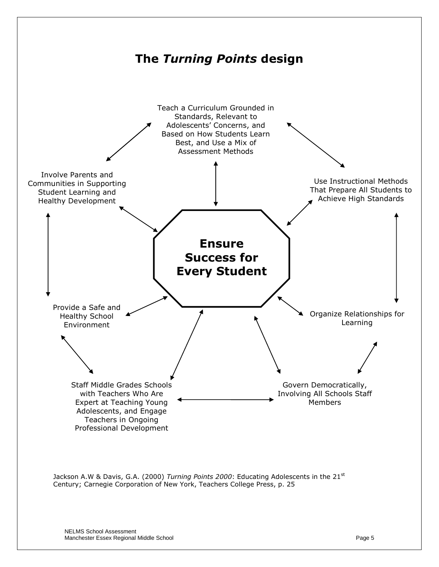

NELMS School Assessment Manchester Essex Regional Middle School Page 5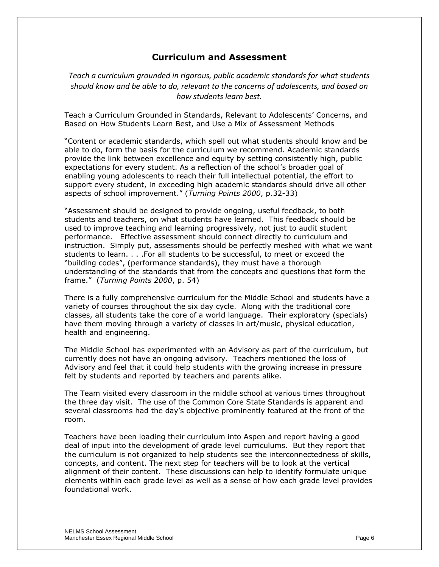### **Curriculum and Assessment**

*Teach a curriculum grounded in rigorous, public academic standards for what students should know and be able to do, relevant to the concerns of adolescents, and based on how students learn best.*

Teach a Curriculum Grounded in Standards, Relevant to Adolescents' Concerns, and Based on How Students Learn Best, and Use a Mix of Assessment Methods

―Content or academic standards, which spell out what students should know and be able to do, form the basis for the curriculum we recommend. Academic standards provide the link between excellence and equity by setting consistently high, public expectations for every student. As a reflection of the school's broader goal of enabling young adolescents to reach their full intellectual potential, the effort to support every student, in exceeding high academic standards should drive all other aspects of school improvement.‖ (*Turning Points 2000*, p.32-33)

"Assessment should be designed to provide ongoing, useful feedback, to both students and teachers, on what students have learned. This feedback should be used to improve teaching and learning progressively, not just to audit student performance. Effective assessment should connect directly to curriculum and instruction. Simply put, assessments should be perfectly meshed with what we want students to learn. . . .For all students to be successful, to meet or exceed the "building codes", (performance standards), they must have a thorough understanding of the standards that from the concepts and questions that form the frame.‖ (*Turning Points 2000*, p. 54)

There is a fully comprehensive curriculum for the Middle School and students have a variety of courses throughout the six day cycle. Along with the traditional core classes, all students take the core of a world language. Their exploratory (specials) have them moving through a variety of classes in art/music, physical education, health and engineering.

The Middle School has experimented with an Advisory as part of the curriculum, but currently does not have an ongoing advisory. Teachers mentioned the loss of Advisory and feel that it could help students with the growing increase in pressure felt by students and reported by teachers and parents alike.

The Team visited every classroom in the middle school at various times throughout the three day visit. The use of the Common Core State Standards is apparent and several classrooms had the day's objective prominently featured at the front of the room.

Teachers have been loading their curriculum into Aspen and report having a good deal of input into the development of grade level curriculums. But they report that the curriculum is not organized to help students see the interconnectedness of skills, concepts, and content. The next step for teachers will be to look at the vertical alignment of their content. These discussions can help to identify formulate unique elements within each grade level as well as a sense of how each grade level provides foundational work.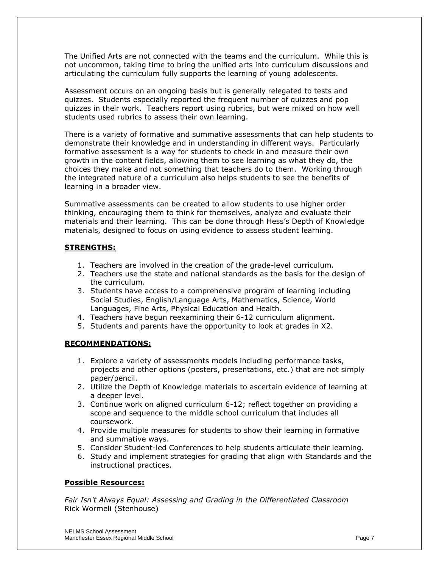The Unified Arts are not connected with the teams and the curriculum. While this is not uncommon, taking time to bring the unified arts into curriculum discussions and articulating the curriculum fully supports the learning of young adolescents.

Assessment occurs on an ongoing basis but is generally relegated to tests and quizzes. Students especially reported the frequent number of quizzes and pop quizzes in their work. Teachers report using rubrics, but were mixed on how well students used rubrics to assess their own learning.

There is a variety of formative and summative assessments that can help students to demonstrate their knowledge and in understanding in different ways. Particularly formative assessment is a way for students to check in and measure their own growth in the content fields, allowing them to see learning as what they do, the choices they make and not something that teachers do to them. Working through the integrated nature of a curriculum also helps students to see the benefits of learning in a broader view.

Summative assessments can be created to allow students to use higher order thinking, encouraging them to think for themselves, analyze and evaluate their materials and their learning. This can be done through Hess's Depth of Knowledge materials, designed to focus on using evidence to assess student learning.

#### **STRENGTHS:**

- 1. Teachers are involved in the creation of the grade-level curriculum.
- 2. Teachers use the state and national standards as the basis for the design of the curriculum.
- 3. Students have access to a comprehensive program of learning including Social Studies, English/Language Arts, Mathematics, Science, World Languages, Fine Arts, Physical Education and Health.
- 4. Teachers have begun reexamining their 6-12 curriculum alignment.
- 5. Students and parents have the opportunity to look at grades in X2.

#### **RECOMMENDATIONS:**

- 1. Explore a variety of assessments models including performance tasks, projects and other options (posters, presentations, etc.) that are not simply paper/pencil.
- 2. Utilize the Depth of Knowledge materials to ascertain evidence of learning at a deeper level.
- 3. Continue work on aligned curriculum 6-12; reflect together on providing a scope and sequence to the middle school curriculum that includes all coursework.
- 4. Provide multiple measures for students to show their learning in formative and summative ways.
- 5. Consider Student-led Conferences to help students articulate their learning.
- 6. Study and implement strategies for grading that align with Standards and the instructional practices.

#### **Possible Resources:**

*Fair Isn't Always Equal: Assessing and Grading in the Differentiated Classroom*  Rick Wormeli (Stenhouse)

NELMS School Assessment Manchester Essex Regional Middle School Page 7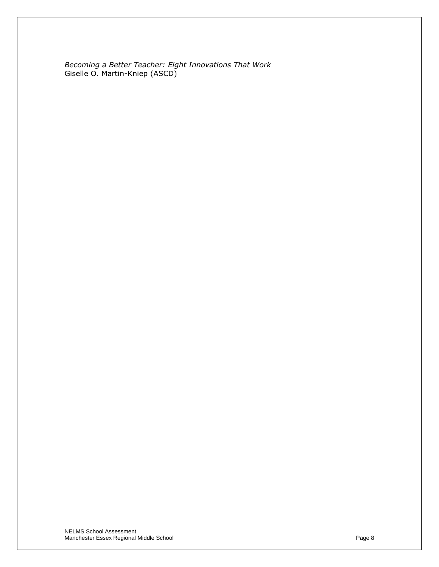*Becoming a Better Teacher: Eight Innovations That Work* Giselle O. Martin-Kniep (ASCD)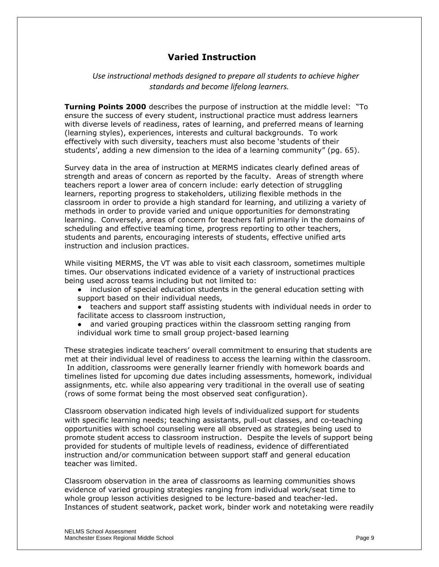# **Varied Instruction**

*Use instructional methods designed to prepare all students to achieve higher standards and become lifelong learners.*

**Turning Points 2000** describes the purpose of instruction at the middle level: "To ensure the success of every student, instructional practice must address learners with diverse levels of readiness, rates of learning, and preferred means of learning (learning styles), experiences, interests and cultural backgrounds. To work effectively with such diversity, teachers must also become 'students of their students', adding a new dimension to the idea of a learning community" (pg. 65).

Survey data in the area of instruction at MERMS indicates clearly defined areas of strength and areas of concern as reported by the faculty. Areas of strength where teachers report a lower area of concern include: early detection of struggling learners, reporting progress to stakeholders, utilizing flexible methods in the classroom in order to provide a high standard for learning, and utilizing a variety of methods in order to provide varied and unique opportunities for demonstrating learning. Conversely, areas of concern for teachers fall primarily in the domains of scheduling and effective teaming time, progress reporting to other teachers, students and parents, encouraging interests of students, effective unified arts instruction and inclusion practices.

While visiting MERMS, the VT was able to visit each classroom, sometimes multiple times. Our observations indicated evidence of a variety of instructional practices being used across teams including but not limited to:

- inclusion of special education students in the general education setting with support based on their individual needs,
- teachers and support staff assisting students with individual needs in order to facilitate access to classroom instruction,
- and varied grouping practices within the classroom setting ranging from individual work time to small group project-based learning

These strategies indicate teachers' overall commitment to ensuring that students are met at their individual level of readiness to access the learning within the classroom. In addition, classrooms were generally learner friendly with homework boards and timelines listed for upcoming due dates including assessments, homework, individual assignments, etc. while also appearing very traditional in the overall use of seating (rows of some format being the most observed seat configuration).

Classroom observation indicated high levels of individualized support for students with specific learning needs; teaching assistants, pull-out classes, and co-teaching opportunities with school counseling were all observed as strategies being used to promote student access to classroom instruction. Despite the levels of support being provided for students of multiple levels of readiness, evidence of differentiated instruction and/or communication between support staff and general education teacher was limited.

Classroom observation in the area of classrooms as learning communities shows evidence of varied grouping strategies ranging from individual work/seat time to whole group lesson activities designed to be lecture-based and teacher-led. Instances of student seatwork, packet work, binder work and notetaking were readily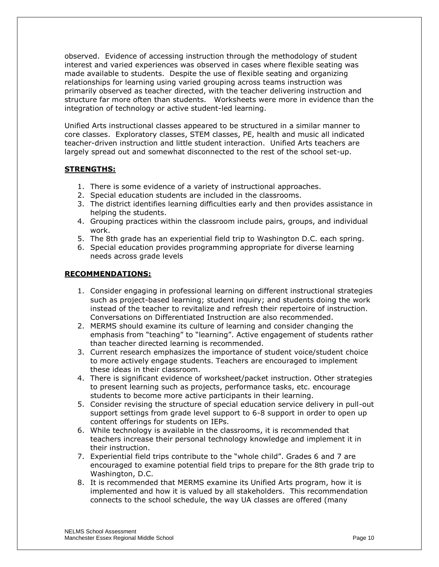observed. Evidence of accessing instruction through the methodology of student interest and varied experiences was observed in cases where flexible seating was made available to students. Despite the use of flexible seating and organizing relationships for learning using varied grouping across teams instruction was primarily observed as teacher directed, with the teacher delivering instruction and structure far more often than students. Worksheets were more in evidence than the integration of technology or active student-led learning.

Unified Arts instructional classes appeared to be structured in a similar manner to core classes. Exploratory classes, STEM classes, PE, health and music all indicated teacher-driven instruction and little student interaction. Unified Arts teachers are largely spread out and somewhat disconnected to the rest of the school set-up.

#### **STRENGTHS:**

- 1. There is some evidence of a variety of instructional approaches.
- 2. Special education students are included in the classrooms.
- 3. The district identifies learning difficulties early and then provides assistance in helping the students.
- 4. Grouping practices within the classroom include pairs, groups, and individual work.
- 5. The 8th grade has an experiential field trip to Washington D.C. each spring.
- 6. Special education provides programming appropriate for diverse learning needs across grade levels

- 1. Consider engaging in professional learning on different instructional strategies such as project-based learning; student inquiry; and students doing the work instead of the teacher to revitalize and refresh their repertoire of instruction. Conversations on Differentiated Instruction are also recommended.
- 2. MERMS should examine its culture of learning and consider changing the emphasis from "teaching" to "learning". Active engagement of students rather than teacher directed learning is recommended.
- 3. Current research emphasizes the importance of student voice/student choice to more actively engage students. Teachers are encouraged to implement these ideas in their classroom.
- 4. There is significant evidence of worksheet/packet instruction. Other strategies to present learning such as projects, performance tasks, etc. encourage students to become more active participants in their learning.
- 5. Consider revising the structure of special education service delivery in pull-out support settings from grade level support to 6-8 support in order to open up content offerings for students on IEPs.
- 6. While technology is available in the classrooms, it is recommended that teachers increase their personal technology knowledge and implement it in their instruction.
- 7. Experiential field trips contribute to the "whole child". Grades 6 and 7 are encouraged to examine potential field trips to prepare for the 8th grade trip to Washington, D.C.
- 8. It is recommended that MERMS examine its Unified Arts program, how it is implemented and how it is valued by all stakeholders. This recommendation connects to the school schedule, the way UA classes are offered (many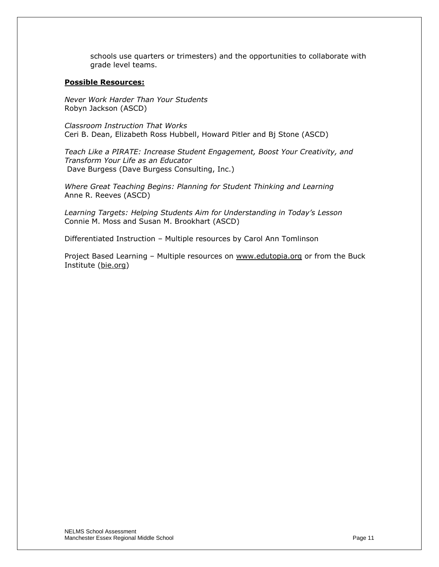schools use quarters or trimesters) and the opportunities to collaborate with grade level teams.

#### **Possible Resources:**

*Never Work Harder Than Your Students* Robyn Jackson (ASCD)

*Classroom Instruction That Works* Ceri B. Dean, Elizabeth Ross Hubbell, Howard Pitler and Bj Stone (ASCD)

*Teach Like a PIRATE: Increase Student Engagement, Boost Your Creativity, and Transform Your Life as an Educator*  Dave Burgess (Dave Burgess Consulting, Inc.)

*Where Great Teaching Begins: Planning for Student Thinking and Learning*  Anne R. Reeves (ASCD)

*Learning Targets: Helping Students Aim for Understanding in Today's Lesson*  Connie M. Moss and Susan M. Brookhart (ASCD)

Differentiated Instruction – Multiple resources by Carol Ann Tomlinson

Project Based Learning - Multiple resources on www.edutopia.org or from the Buck Institute (bie.org)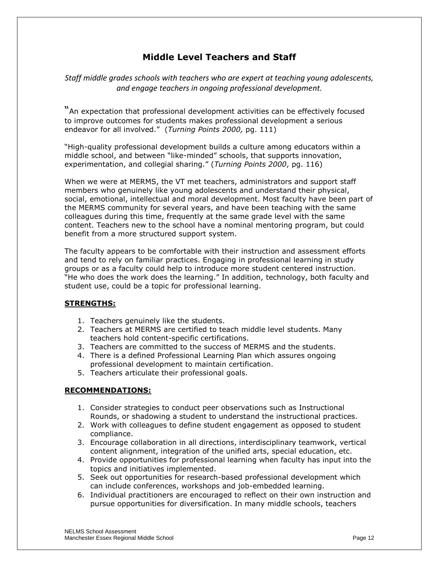# **Middle Level Teachers and Staff**

*Staff middle grades schools with teachers who are expert at teaching young adolescents, and engage teachers in ongoing professional development.*

―An expectation that professional development activities can be effectively focused to improve outcomes for students makes professional development a serious endeavor for all involved.‖ (*Turning Points 2000,* pg. 111)

―High-quality professional development builds a culture among educators within a middle school, and between "like-minded" schools, that supports innovation, experimentation, and collegial sharing.‖ (*Turning Points 2000*, pg. 116)

When we were at MERMS, the VT met teachers, administrators and support staff members who genuinely like young adolescents and understand their physical, social, emotional, intellectual and moral development. Most faculty have been part of the MERMS community for several years, and have been teaching with the same colleagues during this time, frequently at the same grade level with the same content. Teachers new to the school have a nominal mentoring program, but could benefit from a more structured support system.

The faculty appears to be comfortable with their instruction and assessment efforts and tend to rely on familiar practices. Engaging in professional learning in study groups or as a faculty could help to introduce more student centered instruction. "He who does the work does the learning." In addition, technology, both faculty and student use, could be a topic for professional learning.

#### **STRENGTHS:**

- 1. Teachers genuinely like the students.
- 2. Teachers at MERMS are certified to teach middle level students. Many teachers hold content-specific certifications.
- 3. Teachers are committed to the success of MERMS and the students.
- 4. There is a defined Professional Learning Plan which assures ongoing professional development to maintain certification.
- 5. Teachers articulate their professional goals.

- 1. Consider strategies to conduct peer observations such as Instructional Rounds, or shadowing a student to understand the instructional practices.
- 2. Work with colleagues to define student engagement as opposed to student compliance.
- 3. Encourage collaboration in all directions, interdisciplinary teamwork, vertical content alignment, integration of the unified arts, special education, etc.
- 4. Provide opportunities for professional learning when faculty has input into the topics and initiatives implemented.
- 5. Seek out opportunities for research-based professional development which can include conferences, workshops and job-embedded learning.
- 6. Individual practitioners are encouraged to reflect on their own instruction and pursue opportunities for diversification. In many middle schools, teachers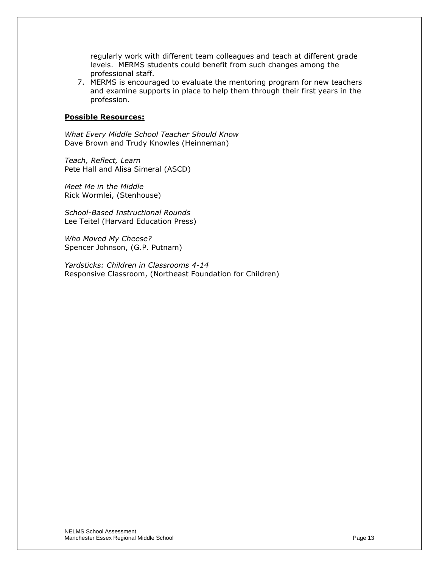regularly work with different team colleagues and teach at different grade levels. MERMS students could benefit from such changes among the professional staff.

7. MERMS is encouraged to evaluate the mentoring program for new teachers and examine supports in place to help them through their first years in the profession.

#### **Possible Resources:**

*What Every Middle School Teacher Should Know* Dave Brown and Trudy Knowles (Heinneman)

*Teach, Reflect, Learn*  Pete Hall and Alisa Simeral (ASCD)

*Meet Me in the Middle* Rick Wormlei, (Stenhouse)

*School-Based Instructional Rounds* Lee Teitel (Harvard Education Press)

*Who Moved My Cheese?* Spencer Johnson, (G.P. Putnam)

*Yardsticks: Children in Classrooms 4-14* Responsive Classroom, (Northeast Foundation for Children)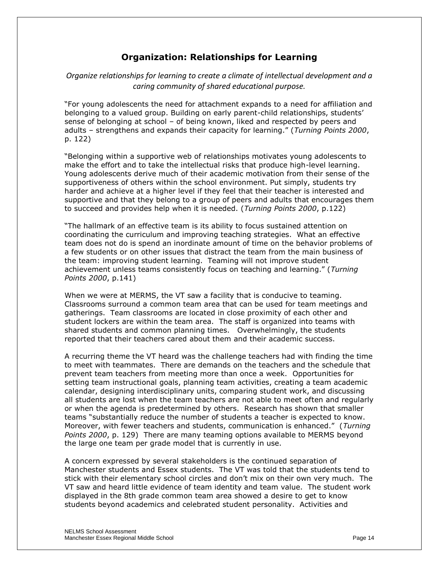# **Organization: Relationships for Learning**

#### *Organize relationships for learning to create a climate of intellectual development and a caring community of shared educational purpose.*

―For young adolescents the need for attachment expands to a need for affiliation and belonging to a valued group. Building on early parent-child relationships, students' sense of belonging at school – of being known, liked and respected by peers and adults – strengthens and expands their capacity for learning.‖ (*Turning Points 2000*, p. 122)

―Belonging within a supportive web of relationships motivates young adolescents to make the effort and to take the intellectual risks that produce high-level learning. Young adolescents derive much of their academic motivation from their sense of the supportiveness of others within the school environment. Put simply, students try harder and achieve at a higher level if they feel that their teacher is interested and supportive and that they belong to a group of peers and adults that encourages them to succeed and provides help when it is needed. (*Turning Points 2000*, p.122)

"The hallmark of an effective team is its ability to focus sustained attention on coordinating the curriculum and improving teaching strategies. What an effective team does not do is spend an inordinate amount of time on the behavior problems of a few students or on other issues that distract the team from the main business of the team: improving student learning. Teaming will not improve student achievement unless teams consistently focus on teaching and learning." (*Turning Points 2000*, p.141)

When we were at MERMS, the VT saw a facility that is conducive to teaming. Classrooms surround a common team area that can be used for team meetings and gatherings. Team classrooms are located in close proximity of each other and student lockers are within the team area. The staff is organized into teams with shared students and common planning times. Overwhelmingly, the students reported that their teachers cared about them and their academic success.

A recurring theme the VT heard was the challenge teachers had with finding the time to meet with teammates. There are demands on the teachers and the schedule that prevent team teachers from meeting more than once a week. Opportunities for setting team instructional goals, planning team activities, creating a team academic calendar, designing interdisciplinary units, comparing student work, and discussing all students are lost when the team teachers are not able to meet often and regularly or when the agenda is predetermined by others. Research has shown that smaller teams "substantially reduce the number of students a teacher is expected to know. Moreover, with fewer teachers and students, communication is enhanced.‖ (*Turning Points 2000*, p. 129) There are many teaming options available to MERMS beyond the large one team per grade model that is currently in use.

A concern expressed by several stakeholders is the continued separation of Manchester students and Essex students. The VT was told that the students tend to stick with their elementary school circles and don't mix on their own very much. The VT saw and heard little evidence of team identity and team value. The student work displayed in the 8th grade common team area showed a desire to get to know students beyond academics and celebrated student personality. Activities and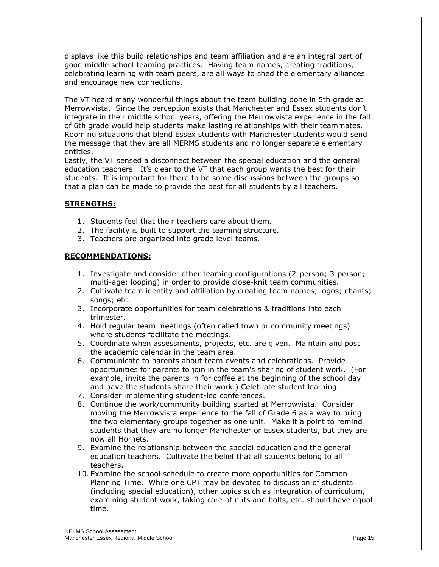displays like this build relationships and team affiliation and are an integral part of good middle school teaming practices. Having team names, creating traditions, celebrating learning with team peers, are all ways to shed the elementary alliances and encourage new connections.

The VT heard many wonderful things about the team building done in 5th grade at Merrowvista. Since the perception exists that Manchester and Essex students don't integrate in their middle school years, offering the Merrowvista experience in the fall of 6th grade would help students make lasting relationships with their teammates. Rooming situations that blend Essex students with Manchester students would send the message that they are all MERMS students and no longer separate elementary entities.

Lastly, the VT sensed a disconnect between the special education and the general education teachers. It's clear to the VT that each group wants the best for their students. It is important for there to be some discussions between the groups so that a plan can be made to provide the best for all students by all teachers.

#### **STRENGTHS:**

- 1. Students feel that their teachers care about them.
- 2. The facility is built to support the teaming structure.
- 3. Teachers are organized into grade level teams.

- 1. Investigate and consider other teaming configurations (2-person; 3-person; multi-age; looping) in order to provide close-knit team communities.
- 2. Cultivate team identity and affiliation by creating team names; logos; chants; songs; etc.
- 3. Incorporate opportunities for team celebrations & traditions into each trimester.
- 4. Hold regular team meetings (often called town or community meetings) where students facilitate the meetings.
- 5. Coordinate when assessments, projects, etc. are given. Maintain and post the academic calendar in the team area.
- 6. Communicate to parents about team events and celebrations. Provide opportunities for parents to join in the team's sharing of student work. (For example, invite the parents in for coffee at the beginning of the school day and have the students share their work.) Celebrate student learning.
- 7. Consider implementing student-led conferences.
- 8. Continue the work/community building started at Merrowvista. Consider moving the Merrowvista experience to the fall of Grade 6 as a way to bring the two elementary groups together as one unit. Make it a point to remind students that they are no longer Manchester or Essex students, but they are now all Hornets.
- 9. Examine the relationship between the special education and the general education teachers. Cultivate the belief that all students belong to all teachers.
- 10. Examine the school schedule to create more opportunities for Common Planning Time. While one CPT may be devoted to discussion of students (including special education), other topics such as integration of curriculum, examining student work, taking care of nuts and bolts, etc. should have equal time.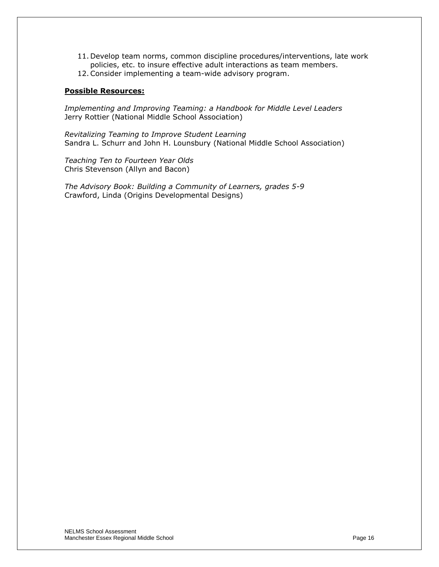- 11. Develop team norms, common discipline procedures/interventions, late work policies, etc. to insure effective adult interactions as team members.
- 12.Consider implementing a team-wide advisory program.

#### **Possible Resources:**

*Implementing and Improving Teaming: a Handbook for Middle Level Leaders* Jerry Rottier (National Middle School Association)

*Revitalizing Teaming to Improve Student Learning* Sandra L. Schurr and John H. Lounsbury (National Middle School Association)

*Teaching Ten to Fourteen Year Olds* Chris Stevenson (Allyn and Bacon)

*The Advisory Book: Building a Community of Learners, grades 5-9* Crawford, Linda (Origins Developmental Designs)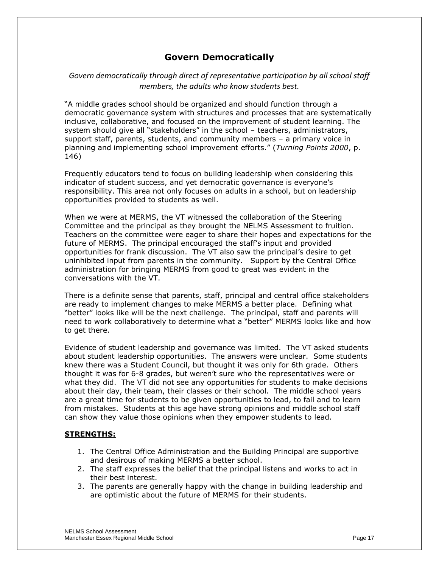# **Govern Democratically**

#### *Govern democratically through direct of representative participation by all school staff members, the adults who know students best.*

"A middle grades school should be organized and should function through a democratic governance system with structures and processes that are systematically inclusive, collaborative, and focused on the improvement of student learning. The system should give all "stakeholders" in the school - teachers, administrators, support staff, parents, students, and community members – a primary voice in planning and implementing school improvement efforts.‖ (*Turning Points 2000*, p. 146)

Frequently educators tend to focus on building leadership when considering this indicator of student success, and yet democratic governance is everyone's responsibility. This area not only focuses on adults in a school, but on leadership opportunities provided to students as well.

When we were at MERMS, the VT witnessed the collaboration of the Steering Committee and the principal as they brought the NELMS Assessment to fruition. Teachers on the committee were eager to share their hopes and expectations for the future of MERMS. The principal encouraged the staff's input and provided opportunities for frank discussion. The VT also saw the principal's desire to get uninhibited input from parents in the community. Support by the Central Office administration for bringing MERMS from good to great was evident in the conversations with the VT.

There is a definite sense that parents, staff, principal and central office stakeholders are ready to implement changes to make MERMS a better place. Defining what "better" looks like will be the next challenge. The principal, staff and parents will need to work collaboratively to determine what a "better" MERMS looks like and how to get there.

Evidence of student leadership and governance was limited. The VT asked students about student leadership opportunities. The answers were unclear. Some students knew there was a Student Council, but thought it was only for 6th grade. Others thought it was for 6-8 grades, but weren't sure who the representatives were or what they did. The VT did not see any opportunities for students to make decisions about their day, their team, their classes or their school. The middle school years are a great time for students to be given opportunities to lead, to fail and to learn from mistakes. Students at this age have strong opinions and middle school staff can show they value those opinions when they empower students to lead.

#### **STRENGTHS:**

- 1. The Central Office Administration and the Building Principal are supportive and desirous of making MERMS a better school.
- 2. The staff expresses the belief that the principal listens and works to act in their best interest.
- 3. The parents are generally happy with the change in building leadership and are optimistic about the future of MERMS for their students.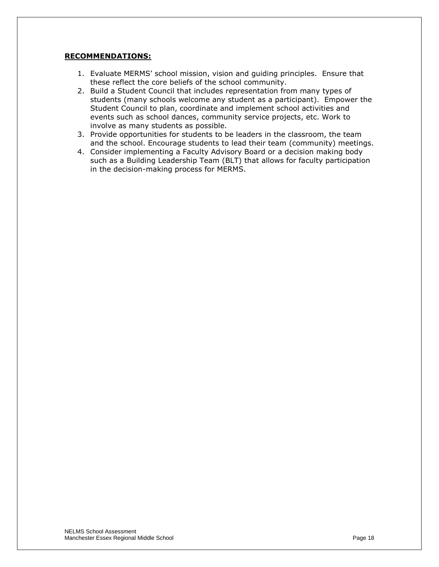- 1. Evaluate MERMS' school mission, vision and guiding principles. Ensure that these reflect the core beliefs of the school community.
- 2. Build a Student Council that includes representation from many types of students (many schools welcome any student as a participant). Empower the Student Council to plan, coordinate and implement school activities and events such as school dances, community service projects, etc. Work to involve as many students as possible.
- 3. Provide opportunities for students to be leaders in the classroom, the team and the school. Encourage students to lead their team (community) meetings.
- 4. Consider implementing a Faculty Advisory Board or a decision making body such as a Building Leadership Team (BLT) that allows for faculty participation in the decision-making process for MERMS.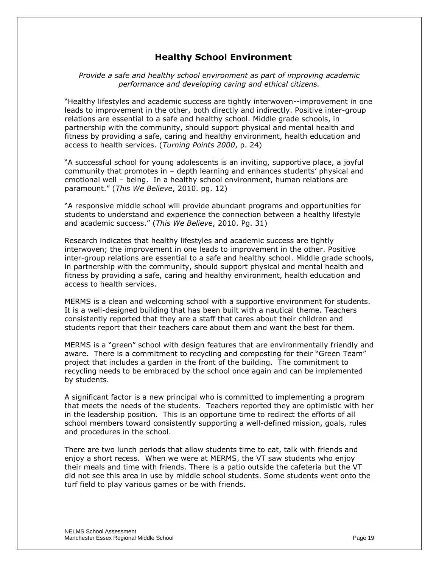### **Healthy School Environment**

*Provide a safe and healthy school environment as part of improving academic performance and developing caring and ethical citizens.*

"Healthy lifestyles and academic success are tightly interwoven--improvement in one leads to improvement in the other, both directly and indirectly. Positive inter-group relations are essential to a safe and healthy school. Middle grade schools, in partnership with the community, should support physical and mental health and fitness by providing a safe, caring and healthy environment, health education and access to health services. (*Turning Points 2000*, p. 24)

―A successful school for young adolescents is an inviting, supportive place, a joyful community that promotes in – depth learning and enhances students' physical and emotional well – being. In a healthy school environment, human relations are paramount.‖ (*This We Believe*, 2010. pg. 12)

―A responsive middle school will provide abundant programs and opportunities for students to understand and experience the connection between a healthy lifestyle and academic success.‖ (*This We Believe*, 2010. Pg. 31)

Research indicates that healthy lifestyles and academic success are tightly interwoven; the improvement in one leads to improvement in the other. Positive inter-group relations are essential to a safe and healthy school. Middle grade schools, in partnership with the community, should support physical and mental health and fitness by providing a safe, caring and healthy environment, health education and access to health services.

MERMS is a clean and welcoming school with a supportive environment for students. It is a well-designed building that has been built with a nautical theme. Teachers consistently reported that they are a staff that cares about their children and students report that their teachers care about them and want the best for them.

MERMS is a "green" school with design features that are environmentally friendly and aware. There is a commitment to recycling and composting for their "Green Team" project that includes a garden in the front of the building. The commitment to recycling needs to be embraced by the school once again and can be implemented by students.

A significant factor is a new principal who is committed to implementing a program that meets the needs of the students. Teachers reported they are optimistic with her in the leadership position. This is an opportune time to redirect the efforts of all school members toward consistently supporting a well-defined mission, goals, rules and procedures in the school.

There are two lunch periods that allow students time to eat, talk with friends and enjoy a short recess. When we were at MERMS, the VT saw students who enjoy their meals and time with friends. There is a patio outside the cafeteria but the VT did not see this area in use by middle school students. Some students went onto the turf field to play various games or be with friends.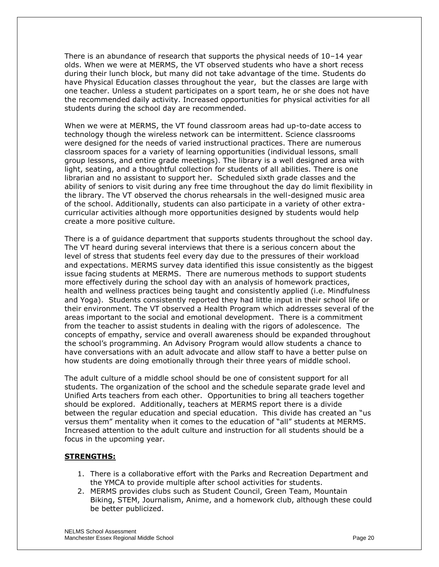There is an abundance of research that supports the physical needs of 10–14 year olds. When we were at MERMS, the VT observed students who have a short recess during their lunch block, but many did not take advantage of the time. Students do have Physical Education classes throughout the year, but the classes are large with one teacher. Unless a student participates on a sport team, he or she does not have the recommended daily activity. Increased opportunities for physical activities for all students during the school day are recommended.

When we were at MERMS, the VT found classroom areas had up-to-date access to technology though the wireless network can be intermittent. Science classrooms were designed for the needs of varied instructional practices. There are numerous classroom spaces for a variety of learning opportunities (individual lessons, small group lessons, and entire grade meetings). The library is a well designed area with light, seating, and a thoughtful collection for students of all abilities. There is one librarian and no assistant to support her. Scheduled sixth grade classes and the ability of seniors to visit during any free time throughout the day do limit flexibility in the library. The VT observed the chorus rehearsals in the well-designed music area of the school. Additionally, students can also participate in a variety of other extracurricular activities although more opportunities designed by students would help create a more positive culture.

There is a of guidance department that supports students throughout the school day. The VT heard during several interviews that there is a serious concern about the level of stress that students feel every day due to the pressures of their workload and expectations. MERMS survey data identified this issue consistently as the biggest issue facing students at MERMS. There are numerous methods to support students more effectively during the school day with an analysis of homework practices, health and wellness practices being taught and consistently applied (i.e. Mindfulness and Yoga). Students consistently reported they had little input in their school life or their environment. The VT observed a Health Program which addresses several of the areas important to the social and emotional development. There is a commitment from the teacher to assist students in dealing with the rigors of adolescence. The concepts of empathy, service and overall awareness should be expanded throughout the school's programming. An Advisory Program would allow students a chance to have conversations with an adult advocate and allow staff to have a better pulse on how students are doing emotionally through their three years of middle school.

The adult culture of a middle school should be one of consistent support for all students. The organization of the school and the schedule separate grade level and Unified Arts teachers from each other. Opportunities to bring all teachers together should be explored. Additionally, teachers at MERMS report there is a divide between the regular education and special education. This divide has created an "us versus them" mentality when it comes to the education of "all" students at MERMS. Increased attention to the adult culture and instruction for all students should be a focus in the upcoming year.

#### **STRENGTHS:**

- 1. There is a collaborative effort with the Parks and Recreation Department and the YMCA to provide multiple after school activities for students.
- 2. MERMS provides clubs such as Student Council, Green Team, Mountain Biking, STEM, Journalism, Anime, and a homework club, although these could be better publicized.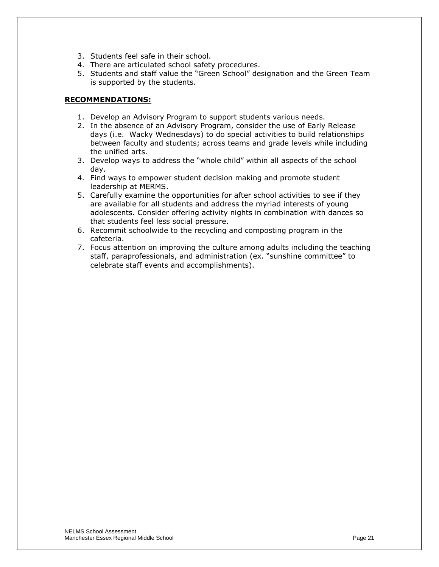- 3. Students feel safe in their school.
- 4. There are articulated school safety procedures.
- 5. Students and staff value the "Green School" designation and the Green Team is supported by the students.

- 1. Develop an Advisory Program to support students various needs.
- 2. In the absence of an Advisory Program, consider the use of Early Release days (i.e. Wacky Wednesdays) to do special activities to build relationships between faculty and students; across teams and grade levels while including the unified arts.
- 3. Develop ways to address the "whole child" within all aspects of the school day.
- 4. Find ways to empower student decision making and promote student leadership at MERMS.
- 5. Carefully examine the opportunities for after school activities to see if they are available for all students and address the myriad interests of young adolescents. Consider offering activity nights in combination with dances so that students feel less social pressure.
- 6. Recommit schoolwide to the recycling and composting program in the cafeteria.
- 7. Focus attention on improving the culture among adults including the teaching staff, paraprofessionals, and administration (ex. "sunshine committee" to celebrate staff events and accomplishments).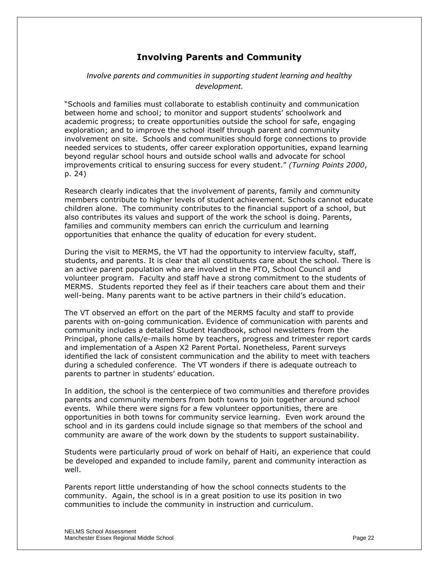# **Involving Parents and Community**

#### *Involve parents and communities in supporting student learning and healthy development.*

―Schools and families must collaborate to establish continuity and communication between home and school; to monitor and support students' schoolwork and academic progress; to create opportunities outside the school for safe, engaging exploration; and to improve the school itself through parent and community involvement on site. Schools and communities should forge connections to provide needed services to students, offer career exploration opportunities, expand learning beyond regular school hours and outside school walls and advocate for school improvements critical to ensuring success for every student.‖ *(Turning Points 2000*, p. 24)

Research clearly indicates that the involvement of parents, family and community members contribute to higher levels of student achievement. Schools cannot educate children alone. The community contributes to the financial support of a school, but also contributes its values and support of the work the school is doing. Parents, families and community members can enrich the curriculum and learning opportunities that enhance the quality of education for every student.

During the visit to MERMS, the VT had the opportunity to interview faculty, staff, students, and parents. It is clear that all constituents care about the school. There is an active parent population who are involved in the PTO, School Council and volunteer program. Faculty and staff have a strong commitment to the students of MERMS. Students reported they feel as if their teachers care about them and their well-being. Many parents want to be active partners in their child's education.

The VT observed an effort on the part of the MERMS faculty and staff to provide parents with on-going communication. Evidence of communication with parents and community includes a detailed Student Handbook, school newsletters from the Principal, phone calls/e-mails home by teachers, progress and trimester report cards and implementation of a Aspen X2 Parent Portal. Nonetheless, Parent surveys identified the lack of consistent communication and the ability to meet with teachers during a scheduled conference. The VT wonders if there is adequate outreach to parents to partner in students' education.

In addition, the school is the centerpiece of two communities and therefore provides parents and community members from both towns to join together around school events. While there were signs for a few volunteer opportunities, there are opportunities in both towns for community service learning. Even work around the school and in its gardens could include signage so that members of the school and community are aware of the work down by the students to support sustainability.

Students were particularly proud of work on behalf of Haiti, an experience that could be developed and expanded to include family, parent and community interaction as well.

Parents report little understanding of how the school connects students to the community. Again, the school is in a great position to use its position in two communities to include the community in instruction and curriculum.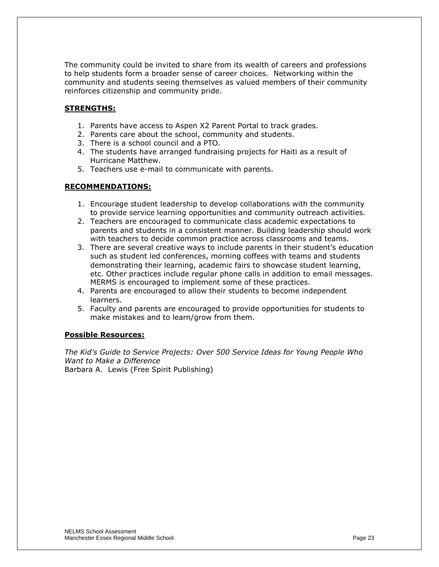The community could be invited to share from its wealth of careers and professions to help students form a broader sense of career choices. Networking within the community and students seeing themselves as valued members of their community reinforces citizenship and community pride.

#### **STRENGTHS:**

- 1. Parents have access to Aspen X2 Parent Portal to track grades.
- 2. Parents care about the school, community and students.
- 3. There is a school council and a PTO.
- 4. The students have arranged fundraising projects for Haiti as a result of Hurricane Matthew.
- 5. Teachers use e-mail to communicate with parents.

#### **RECOMMENDATIONS:**

- 1. Encourage student leadership to develop collaborations with the community to provide service learning opportunities and community outreach activities.
- 2. Teachers are encouraged to communicate class academic expectations to parents and students in a consistent manner. Building leadership should work with teachers to decide common practice across classrooms and teams.
- 3. There are several creative ways to include parents in their student's education such as student led conferences, morning coffees with teams and students demonstrating their learning, academic fairs to showcase student learning, etc. Other practices include regular phone calls in addition to email messages. MERMS is encouraged to implement some of these practices.
- 4. Parents are encouraged to allow their students to become independent learners.
- 5. Faculty and parents are encouraged to provide opportunities for students to make mistakes and to learn/grow from them.

#### **Possible Resources:**

*The Kid's Guide to Service Projects: Over 500 Service Ideas for Young People Who Want to Make a Difference*  Barbara A. Lewis (Free Spirit Publishing)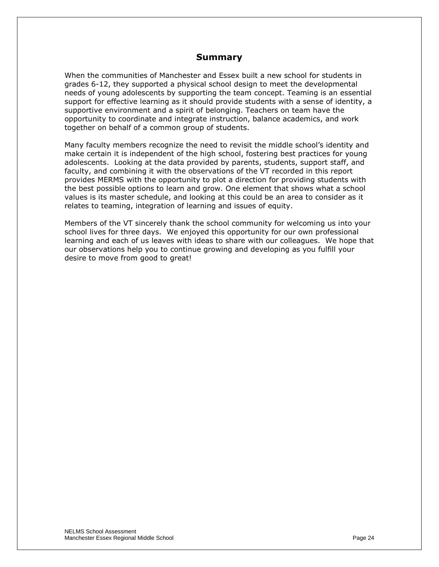#### **Summary**

When the communities of Manchester and Essex built a new school for students in grades 6-12, they supported a physical school design to meet the developmental needs of young adolescents by supporting the team concept. Teaming is an essential support for effective learning as it should provide students with a sense of identity, a supportive environment and a spirit of belonging. Teachers on team have the opportunity to coordinate and integrate instruction, balance academics, and work together on behalf of a common group of students.

Many faculty members recognize the need to revisit the middle school's identity and make certain it is independent of the high school, fostering best practices for young adolescents. Looking at the data provided by parents, students, support staff, and faculty, and combining it with the observations of the VT recorded in this report provides MERMS with the opportunity to plot a direction for providing students with the best possible options to learn and grow. One element that shows what a school values is its master schedule, and looking at this could be an area to consider as it relates to teaming, integration of learning and issues of equity.

Members of the VT sincerely thank the school community for welcoming us into your school lives for three days. We enjoyed this opportunity for our own professional learning and each of us leaves with ideas to share with our colleagues. We hope that our observations help you to continue growing and developing as you fulfill your desire to move from good to great!